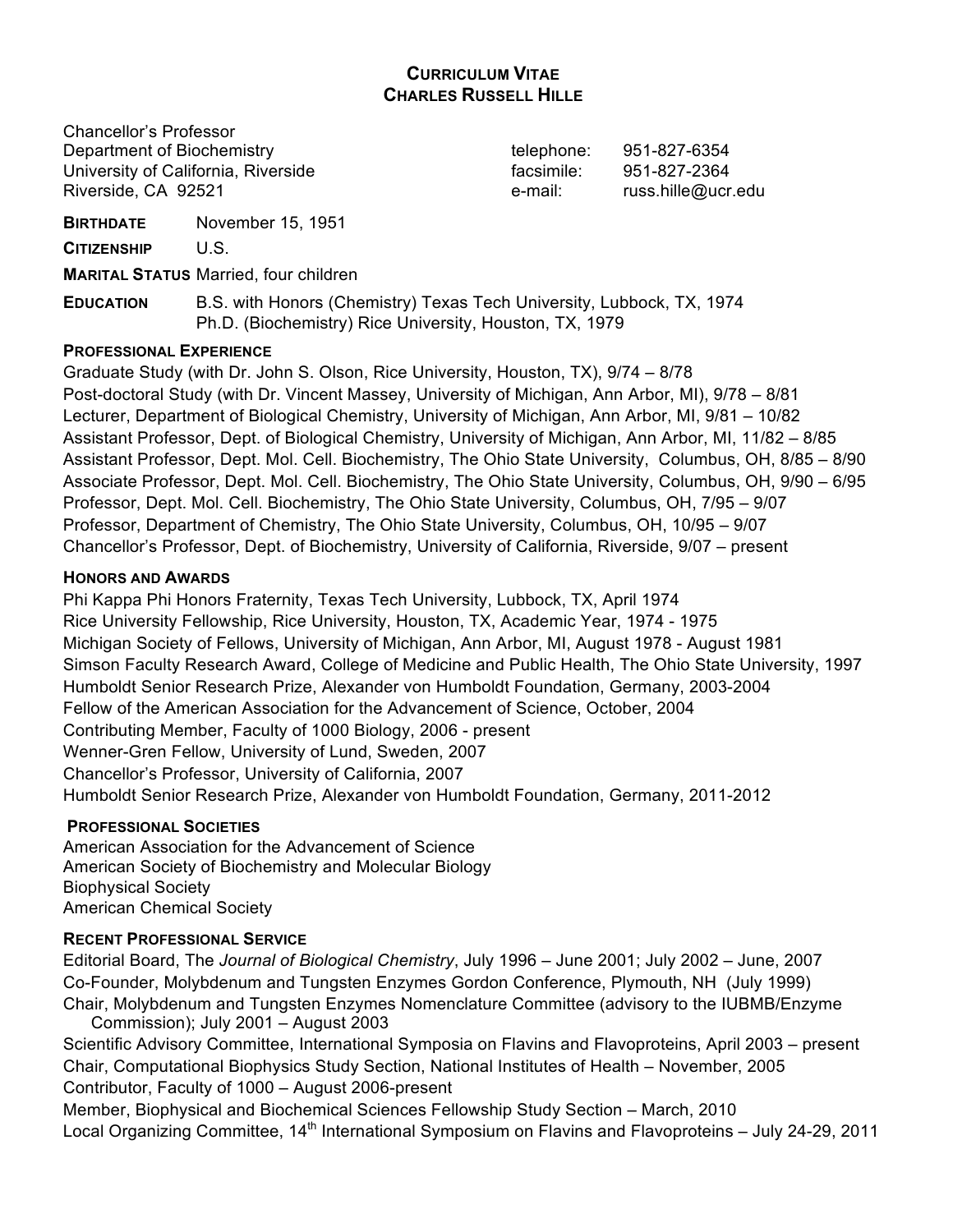# **CURRICULUM VITAE CHARLES RUSSELL HILLE**

Chancellor's Professor Department of Biochemistry and the state of the telephone: 951-827-6354 University of California, Riverside facsimile: 951-827-2364 Riverside, CA 92521 e-mail: russ.hille@ucr.edu

**BIRTHDATE** November 15, 1951

**CITIZENSHIP** U.S.

**MARITAL STATUS** Married, four children

**EDUCATION** B.S. with Honors (Chemistry) Texas Tech University, Lubbock, TX, 1974 Ph.D. (Biochemistry) Rice University, Houston, TX, 1979

# **PROFESSIONAL EXPERIENCE**

Graduate Study (with Dr. John S. Olson, Rice University, Houston, TX), 9/74 – 8/78 Post-doctoral Study (with Dr. Vincent Massey, University of Michigan, Ann Arbor, MI), 9/78 – 8/81 Lecturer, Department of Biological Chemistry, University of Michigan, Ann Arbor, MI, 9/81 – 10/82 Assistant Professor, Dept. of Biological Chemistry, University of Michigan, Ann Arbor, MI, 11/82 – 8/85 Assistant Professor, Dept. Mol. Cell. Biochemistry, The Ohio State University, Columbus, OH, 8/85 – 8/90 Associate Professor, Dept. Mol. Cell. Biochemistry, The Ohio State University, Columbus, OH, 9/90 – 6/95 Professor, Dept. Mol. Cell. Biochemistry, The Ohio State University, Columbus, OH, 7/95 – 9/07 Professor, Department of Chemistry, The Ohio State University, Columbus, OH, 10/95 – 9/07 Chancellor's Professor, Dept. of Biochemistry, University of California, Riverside, 9/07 – present

# **HONORS AND AWARDS**

Phi Kappa Phi Honors Fraternity, Texas Tech University, Lubbock, TX, April 1974 Rice University Fellowship, Rice University, Houston, TX, Academic Year, 1974 - 1975 Michigan Society of Fellows, University of Michigan, Ann Arbor, MI, August 1978 - August 1981 Simson Faculty Research Award, College of Medicine and Public Health, The Ohio State University, 1997 Humboldt Senior Research Prize, Alexander von Humboldt Foundation, Germany, 2003-2004 Fellow of the American Association for the Advancement of Science, October, 2004 Contributing Member, Faculty of 1000 Biology, 2006 - present Wenner-Gren Fellow, University of Lund, Sweden, 2007 Chancellor's Professor, University of California, 2007 Humboldt Senior Research Prize, Alexander von Humboldt Foundation, Germany, 2011-2012

# **PROFESSIONAL SOCIETIES**

American Association for the Advancement of Science American Society of Biochemistry and Molecular Biology Biophysical Society American Chemical Society

# **RECENT PROFESSIONAL SERVICE**

Editorial Board, The *Journal of Biological Chemistry*, July 1996 – June 2001; July 2002 – June, 2007 Co-Founder, Molybdenum and Tungsten Enzymes Gordon Conference, Plymouth, NH (July 1999) Chair, Molybdenum and Tungsten Enzymes Nomenclature Committee (advisory to the IUBMB/Enzyme

Commission); July 2001 – August 2003 Scientific Advisory Committee, International Symposia on Flavins and Flavoproteins, April 2003 – present Chair, Computational Biophysics Study Section, National Institutes of Health – November, 2005 Contributor, Faculty of 1000 – August 2006-present

Member, Biophysical and Biochemical Sciences Fellowship Study Section – March, 2010 Local Organizing Committee, 14<sup>th</sup> International Symposium on Flavins and Flavoproteins – July 24-29, 2011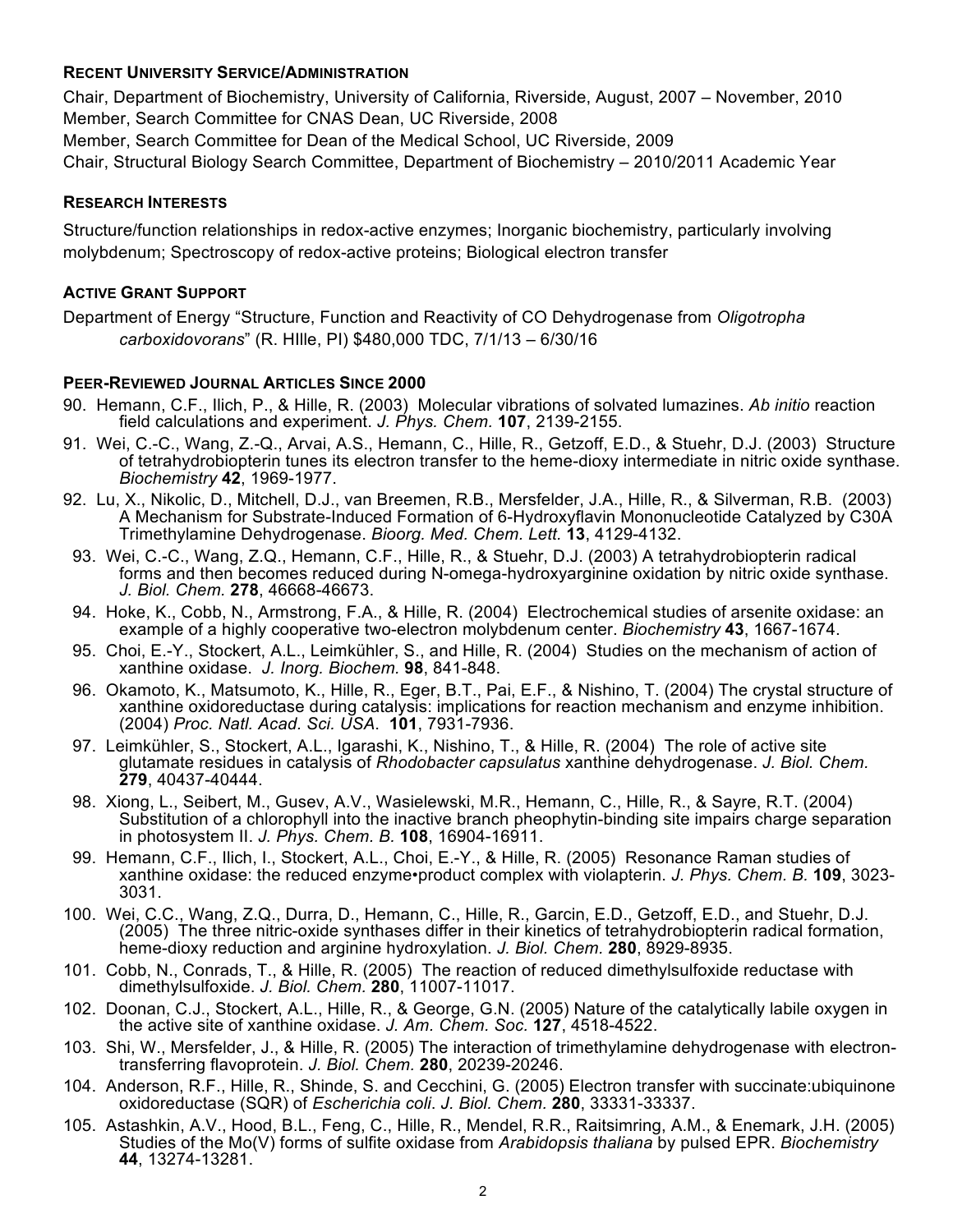### **RECENT UNIVERSITY SERVICE/ADMINISTRATION**

Chair, Department of Biochemistry, University of California, Riverside, August, 2007 – November, 2010 Member, Search Committee for CNAS Dean, UC Riverside, 2008

Member, Search Committee for Dean of the Medical School, UC Riverside, 2009

Chair, Structural Biology Search Committee, Department of Biochemistry – 2010/2011 Academic Year

#### **RESEARCH INTERESTS**

Structure/function relationships in redox-active enzymes; Inorganic biochemistry, particularly involving molybdenum; Spectroscopy of redox-active proteins; Biological electron transfer

### **ACTIVE GRANT SUPPORT**

Department of Energy "Structure, Function and Reactivity of CO Dehydrogenase from *Oligotropha carboxidovorans*" (R. HIlle, PI) \$480,000 TDC, 7/1/13 – 6/30/16

### **PEER-REVIEWED JOURNAL ARTICLES SINCE 2000**

- 90. Hemann, C.F., Ilich, P., & Hille, R. (2003) Molecular vibrations of solvated lumazines. *Ab initio* reaction field calculations and experiment. *J. Phys. Chem.* **107**, 2139-2155.
- 91. Wei, C.-C., Wang, Z.-Q., Arvai, A.S., Hemann, C., Hille, R., Getzoff, E.D., & Stuehr, D.J. (2003) Structure of tetrahydrobiopterin tunes its electron transfer to the heme-dioxy intermediate in nitric oxide synthase. *Biochemistry* **42**, 1969-1977.
- 92. Lu, X., Nikolic, D., Mitchell, D.J., van Breemen, R.B., Mersfelder, J.A., Hille, R., & Silverman, R.B. (2003) A Mechanism for Substrate-Induced Formation of 6-Hydroxyflavin Mononucleotide Catalyzed by C30A Trimethylamine Dehydrogenase. *Bioorg. Med. Chem. Lett.* **13**, 4129-4132.
- 93. Wei, C.-C., Wang, Z.Q., Hemann, C.F., Hille, R., & Stuehr, D.J. (2003) A tetrahydrobiopterin radical forms and then becomes reduced during N-omega-hydroxyarginine oxidation by nitric oxide synthase. *J. Biol. Chem.* **278**, 46668-46673.
- 94. Hoke, K., Cobb, N., Armstrong, F.A., & Hille, R. (2004) Electrochemical studies of arsenite oxidase: an example of a highly cooperative two-electron molybdenum center. *Biochemistry* **43**, 1667-1674.
- 95. Choi, E.-Y., Stockert, A.L., Leimkühler, S., and Hille, R. (2004) Studies on the mechanism of action of xanthine oxidase. *J. Inorg. Biochem.* **98**, 841-848.
- 96. Okamoto, K., Matsumoto, K., Hille, R., Eger, B.T., Pai, E.F., & Nishino, T. (2004) The crystal structure of xanthine oxidoreductase during catalysis: implications for reaction mechanism and enzyme inhibition. (2004) *Proc. Natl. Acad. Sci. USA*. **101**, 7931-7936.
- 97. Leimkühler, S., Stockert, A.L., Igarashi, K., Nishino, T., & Hille, R. (2004) The role of active site glutamate residues in catalysis of *Rhodobacter capsulatus* xanthine dehydrogenase. *J. Biol. Chem.* **279**, 40437-40444.
- 98. Xiong, L., Seibert, M., Gusev, A.V., Wasielewski, M.R., Hemann, C., Hille, R., & Sayre, R.T. (2004) Substitution of a chlorophyll into the inactive branch pheophytin-binding site impairs charge separation in photosystem II. *J. Phys. Chem. B.* **108**, 16904-16911.
- 99. Hemann, C.F., Ilich, I., Stockert, A.L., Choi, E.-Y., & Hille, R. (2005) Resonance Raman studies of xanthine oxidase: the reduced enzyme•product complex with violapterin. *J. Phys. Chem. B.* **109**, 3023- 3031.
- 100. Wei, C.C., Wang, Z.Q., Durra, D., Hemann, C., Hille, R., Garcin, E.D., Getzoff, E.D., and Stuehr, D.J. (2005) The three nitric-oxide synthases differ in their kinetics of tetrahydrobiopterin radical formation, heme-dioxy reduction and arginine hydroxylation. *J. Biol. Chem.* **280**, 8929-8935.
- 101. Cobb, N., Conrads, T., & Hille, R. (2005) The reaction of reduced dimethylsulfoxide reductase with dimethylsulfoxide. *J. Biol. Chem.* **280**, 11007-11017.
- 102. Doonan, C.J., Stockert, A.L., Hille, R., & George, G.N. (2005) Nature of the catalytically labile oxygen in the active site of xanthine oxidase. *J. Am. Chem. Soc.* **127**, 4518-4522.
- 103. Shi, W., Mersfelder, J., & Hille, R. (2005) The interaction of trimethylamine dehydrogenase with electron- transferring flavoprotein. *J. Biol. Chem.* **<sup>280</sup>**, 20239-20246.
- 104. Anderson, R.F., Hille, R., Shinde, S. and Cecchini, G. (2005) Electron transfer with succinate:ubiquinone oxidoreductase (SQR) of *Escherichia coli*. *J. Biol. Chem.* **280**, 33331-33337.
- 105. Astashkin, A.V., Hood, B.L., Feng, C., Hille, R., Mendel, R.R., Raitsimring, A.M., & Enemark, J.H. (2005) Studies of the Mo(V) forms of sulfite oxidase from *Arabidopsis thaliana* by pulsed EPR. *Biochemistry* **44**, 13274-13281.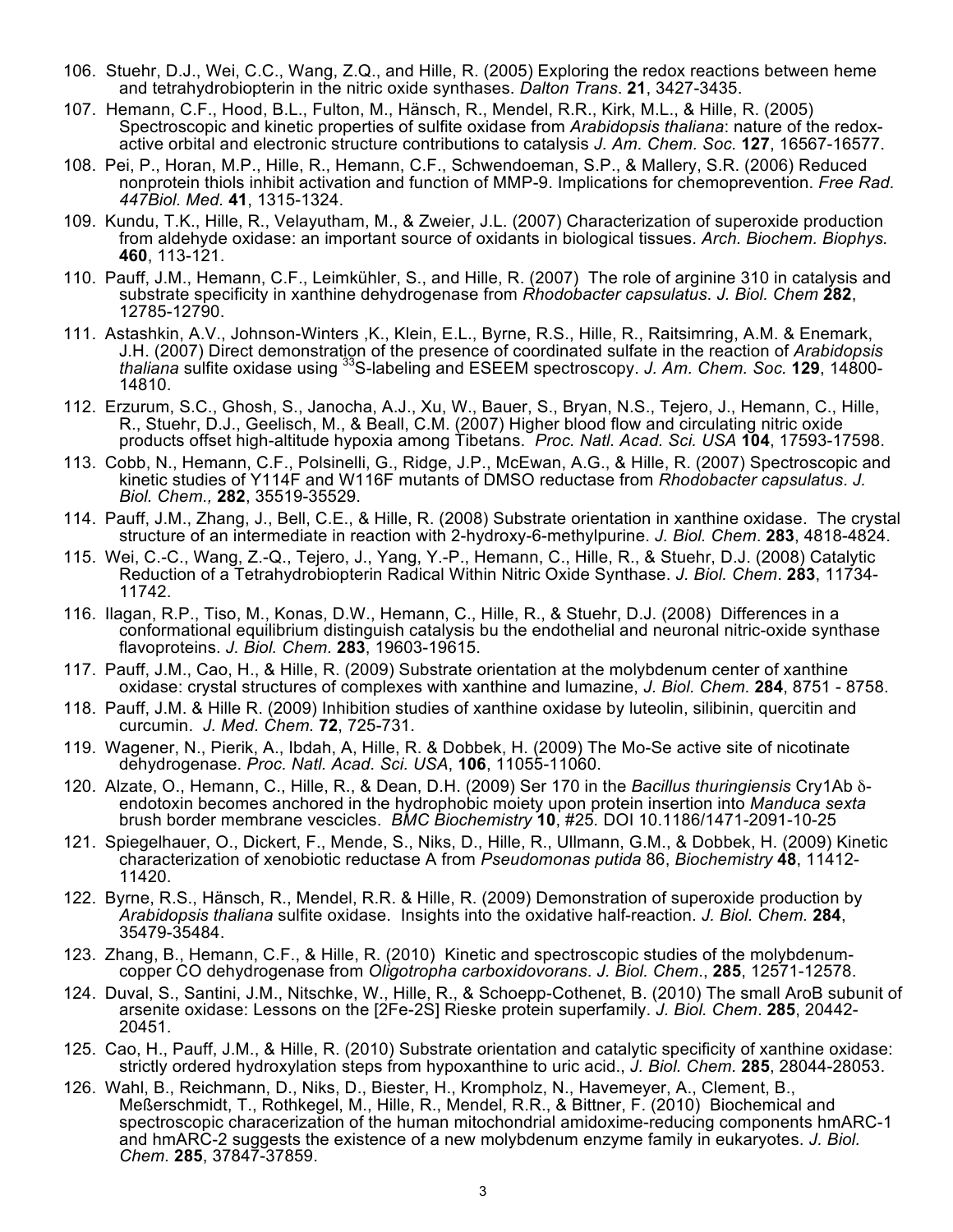- 106. Stuehr, D.J., Wei, C.C., Wang, Z.Q., and Hille, R. (2005) Exploring the redox reactions between heme and tetrahydrobiopterin in the nitric oxide synthases. *Dalton Trans*. **21**, 3427-3435.
- 107. Hemann, C.F., Hood, B.L., Fulton, M., Hänsch, R., Mendel, R.R., Kirk, M.L., & Hille, R. (2005) Spectroscopic and kinetic properties of sulfite oxidase from *Arabidopsis thaliana*: nature of the redoxactive orbital and electronic structure contributions to catalysis *J. Am. Chem. Soc.* **127**, 16567-16577.
- 108. Pei, P., Horan, M.P., Hille, R., Hemann, C.F., Schwendoeman, S.P., & Mallery, S.R. (2006) Reduced nonprotein thiols inhibit activation and function of MMP-9. Implications for chemoprevention. *Free Rad. 447Biol. Med.* **41**, 1315-1324.
- 109. Kundu, T.K., Hille, R., Velayutham, M., & Zweier, J.L. (2007) Characterization of superoxide production from aldehyde oxidase: an important source of oxidants in biological tissues. *Arch. Biochem. Biophys.* **460**, 113-121.
- 110. Pauff, J.M., Hemann, C.F., Leimkühler, S., and Hille, R. (2007) The role of arginine 310 in catalysis and substrate specificity in xanthine dehydrogenase from *Rhodobacter capsulatus*. *J. Biol. Chem* **282**, 12785-12790.
- 111. Astashkin, A.V., Johnson-Winters ,K., Klein, E.L., Byrne, R.S., Hille, R., Raitsimring, A.M. & Enemark, J.H. (2007) Direct demonstration of the presence of coordinated sulfate in the reaction of *Arabidopsis thaliana* sulfite oxidase using 33S-labeling and ESEEM spectroscopy. *J. Am. Chem. Soc.* **129**, 14800- 14810.
- 112. Erzurum, S.C., Ghosh, S., Janocha, A.J., Xu, W., Bauer, S., Bryan, N.S., Tejero, J., Hemann, C., Hille, R., Stuehr, D.J., Geelisch, M., & Beall, C.M. (2007) Higher blood flow and circulating nitric oxide products offset high-altitude hypoxia among Tibetans. *Proc. Natl. Acad. Sci. USA* **104**, 17593-17598.
- 113. Cobb, N., Hemann, C.F., Polsinelli, G., Ridge, J.P., McEwan, A.G., & Hille, R. (2007) Spectroscopic and kinetic studies of Y114F and W116F mutants of DMSO reductase from *Rhodobacter capsulatus*. *J. Biol. Chem.,* **282**, 35519-35529.
- 114. Pauff, J.M., Zhang, J., Bell, C.E., & Hille, R. (2008) Substrate orientation in xanthine oxidase. The crystal structure of an intermediate in reaction with 2-hydroxy-6-methylpurine. *J. Biol. Chem*. **283**, 4818-4824.
- 115. Wei, C.-C., Wang, Z.-Q., Tejero, J., Yang, Y.-P., Hemann, C., Hille, R., & Stuehr, D.J. (2008) Catalytic Reduction of a Tetrahydrobiopterin Radical Within Nitric Oxide Synthase. *J. Biol. Chem*. **283**, 11734- 11742.
- 116. Ilagan, R.P., Tiso, M., Konas, D.W., Hemann, C., Hille, R., & Stuehr, D.J. (2008) Differences in a conformational equilibrium distinguish catalysis bu the endothelial and neuronal nitric-oxide synthase flavoproteins. *J. Biol. Chem.* **283**, 19603-19615.
- 117. Pauff, J.M., Cao, H., & Hille, R. (2009) Substrate orientation at the molybdenum center of xanthine oxidase: crystal structures of complexes with xanthine and lumazine, *J. Biol. Chem.* **284**, 8751 - 8758.
- 118. Pauff, J.M. & Hille R. (2009) Inhibition studies of xanthine oxidase by luteolin, silibinin, quercitin and curcumin. *J. Med. Chem.* **72**, 725-731.
- 119. Wagener, N., Pierik, A., Ibdah, A, Hille, R. & Dobbek, H. (2009) The Mo-Se active site of nicotinate dehydrogenase. *Proc. Natl. Acad. Sci. USA*, **106**, 11055-11060.
- 120. Alzate, O., Hemann, C., Hille, R., & Dean, D.H. (2009) Ser 170 in the *Bacillus thuringiensis* Cry1Ab δendotoxin becomes anchored in the hydrophobic moiety upon protein insertion into *Manduca sexta*  brush border membrane vescicles. *BMC Biochemistry* **10**, #25*.* DOI 10.1186/1471-2091-10-25
- 121. Spiegelhauer, O., Dickert, F., Mende, S., Niks, D., Hille, R., Ullmann, G.M., & Dobbek, H. (2009) Kinetic characterization of xenobiotic reductase A from *Pseudomonas putida* 86, *Biochemistry* **48**, 11412- 11420.
- 122. Byrne, R.S., Hänsch, R., Mendel, R.R. & Hille, R. (2009) Demonstration of superoxide production by *Arabidopsis thaliana* sulfite oxidase. Insights into the oxidative half-reaction. *J. Biol. Chem.* **284**, 35479-35484.
- 123. Zhang, B., Hemann, C.F., & Hille, R. (2010) Kinetic and spectroscopic studies of the molybdenumcopper CO dehydrogenase from *Oligotropha carboxidovorans*. *J. Biol. Chem*., **285**, 12571-12578.
- 124. Duval, S., Santini, J.M., Nitschke, W., Hille, R., & Schoepp-Cothenet, B. (2010) The small AroB subunit of arsenite oxidase: Lessons on the [2Fe-2S] Rieske protein superfamily. *J. Biol. Chem*. **285**, 20442- 20451.
- 125. Cao, H., Pauff, J.M., & Hille, R. (2010) Substrate orientation and catalytic specificity of xanthine oxidase: strictly ordered hydroxylation steps from hypoxanthine to uric acid., *J. Biol. Chem.* **285**, 28044-28053.
- 126. Wahl, B., Reichmann, D., Niks, D., Biester, H., Krompholz, N., Havemeyer, A., Clement, B., Meßerschmidt, T., Rothkegel, M., Hille, R., Mendel, R.R., & Bittner, F. (2010) Biochemical and spectroscopic characerization of the human mitochondrial amidoxime-reducing components hmARC-1 and hmARC-2 suggests the existence of a new molybdenum enzyme family in eukaryotes. *J. Biol. Chem.* **285**, 37847-37859.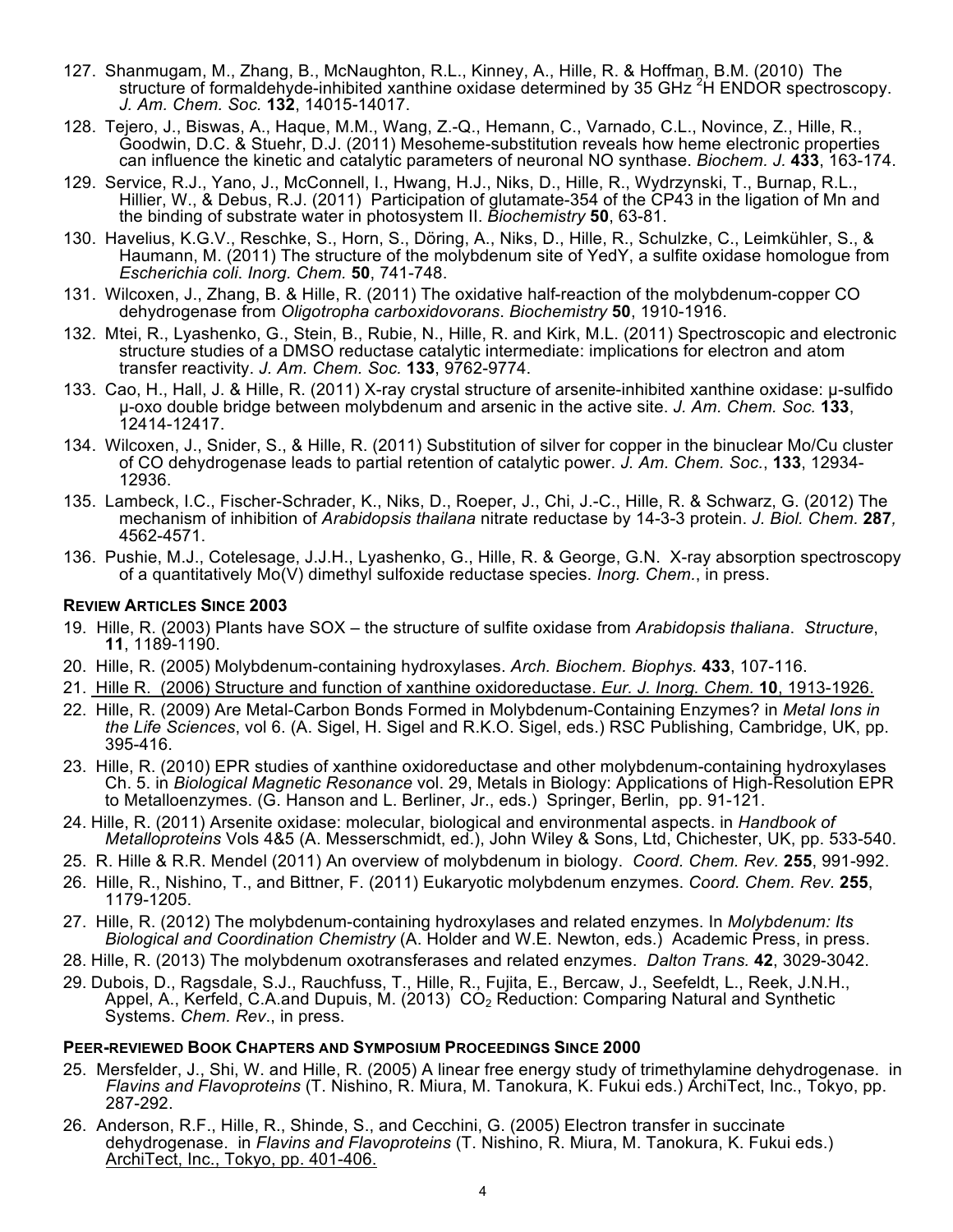- 127. Shanmugam, M., Zhang, B., McNaughton, R.L., Kinney, A., Hille, R. & Hoffman, B.M. (2010) The structure of formaldehyde-inhibited xanthine oxidase determined by 35 GHz <sup>2</sup>H ENDOR spectroscopy. *J. Am. Chem. Soc.* **132**, 14015-14017.
- 128. Tejero, J., Biswas, A., Haque, M.M., Wang, Z.-Q., Hemann, C., Varnado, C.L., Novince, Z., Hille, R., Goodwin, D.C. & Stuehr, D.J. (2011) Mesoheme-substitution reveals how heme electronic properties can influence the kinetic and catalytic parameters of neuronal NO synthase. *Biochem. J.* **433**, 163-174.
- 129. Service, R.J., Yano, J., McConnell, I., Hwang, H.J., Niks, D., Hille, R., Wydrzynski, T., Burnap, R.L., Hillier, W., & Debus, R.J. (2011) Participation of glutamate-354 of the CP43 in the ligation of Mn and the binding of substrate water in photosystem II. *Biochemistry* **50**, 63-81.
- 130. Havelius, K.G.V., Reschke, S., Horn, S., Döring, A., Niks, D., Hille, R., Schulzke, C., Leimkühler, S., & Haumann, M. (2011) The structure of the molybdenum site of YedY, a sulfite oxidase homologue from *Escherichia coli*. *Inorg. Chem.* **50**, 741-748.
- 131. Wilcoxen, J., Zhang, B. & Hille, R. (2011) The oxidative half-reaction of the molybdenum-copper CO dehydrogenase from *Oligotropha carboxidovorans*. *Biochemistry* **50**, 1910-1916.
- 132. Mtei, R., Lyashenko, G., Stein, B., Rubie, N., Hille, R. and Kirk, M.L. (2011) Spectroscopic and electronic structure studies of a DMSO reductase catalytic intermediate: implications for electron and atom transfer reactivity. *J. Am. Chem. Soc.* **133**, 9762-9774.
- 133. Cao, H., Hall, J. & Hille, R. (2011) X-ray crystal structure of arsenite-inhibited xanthine oxidase: µ-sulfido µ-oxo double bridge between molybdenum and arsenic in the active site. *J. Am. Chem. Soc.* **133**, 12414-12417.
- 134. Wilcoxen, J., Snider, S., & Hille, R. (2011) Substitution of silver for copper in the binuclear Mo/Cu cluster of CO dehydrogenase leads to partial retention of catalytic power. *J. Am. Chem. Soc.*, **133**, 12934- 12936.
- 135. Lambeck, I.C., Fischer-Schrader, K., Niks, D., Roeper, J., Chi, J.-C., Hille, R. & Schwarz, G. (2012) The mechanism of inhibition of *Arabidopsis thailana* nitrate reductase by 14-3-3 protein. *J. Biol. Chem.* **287***,* 4562-4571.
- 136. Pushie, M.J., Cotelesage, J.J.H., Lyashenko, G., Hille, R. & George, G.N. X-ray absorption spectroscopy of a quantitatively Mo(V) dimethyl sulfoxide reductase species. *Inorg. Chem.*, in press.

### **REVIEW ARTICLES SINCE 2003**

- 19. Hille, R. (2003) Plants have SOX the structure of sulfite oxidase from *Arabidopsis thaliana*. *Structure*, **11**, 1189-1190.
- 20. Hille, R. (2005) Molybdenum-containing hydroxylases. *Arch. Biochem. Biophys.* **433**, 107-116.
- 21. Hille R. (2006) Structure and function of xanthine oxidoreductase. *Eur. J. Inorg. Chem.* **10**, 1913-1926.
- 22. Hille, R. (2009) Are Metal-Carbon Bonds Formed in Molybdenum-Containing Enzymes? in *Metal Ions in the Life Sciences*, vol 6. (A. Sigel, H. Sigel and R.K.O. Sigel, eds.) RSC Publishing, Cambridge, UK, pp. 395-416.
- 23. Hille, R. (2010) EPR studies of xanthine oxidoreductase and other molybdenum-containing hydroxylases Ch. 5. in *Biological Magnetic Resonance* vol. 29, Metals in Biology: Applications of High-Resolution EPR to Metalloenzymes. (G. Hanson and L. Berliner, Jr., eds.) Springer, Berlin, pp. 91-121.
- 24. Hille, R. (2011) Arsenite oxidase: molecular, biological and environmental aspects. in *Handbook of Metalloproteins* Vols 4&5 (A. Messerschmidt, ed.), John Wiley & Sons, Ltd, Chichester, UK, pp. 533-540.
- 25. R. Hille & R.R. Mendel (2011) An overview of molybdenum in biology. *Coord. Chem. Rev.* **255**, 991-992.
- 26. Hille, R., Nishino, T., and Bittner, F. (2011) Eukaryotic molybdenum enzymes. *Coord. Chem. Rev.* **255**, 1179-1205.
- 27. Hille, R. (2012) The molybdenum-containing hydroxylases and related enzymes. In *Molybdenum: Its Biological and Coordination Chemistry* (A. Holder and W.E. Newton, eds.) Academic Press, in press.
- 28. Hille, R. (2013) The molybdenum oxotransferases and related enzymes. *Dalton Trans.* **42**, 3029-3042.
- 29. Dubois, D., Ragsdale, S.J., Rauchfuss, T., Hille, R., Fujita, E., Bercaw, J., Seefeldt, L., Reek, J.N.H., Appel, A., Kerfeld, C.A.and Dupuis, M. (2013)  $CO<sub>2</sub>$  Reduction: Comparing Natural and Synthetic Systems. *Chem. Rev*., in press.

#### **PEER-REVIEWED BOOK CHAPTERS AND SYMPOSIUM PROCEEDINGS SINCE 2000**

- 25. Mersfelder, J., Shi, W. and Hille, R. (2005) A linear free energy study of trimethylamine dehydrogenase. in *Flavins and Flavoproteins* (T. Nishino, R. Miura, M. Tanokura, K. Fukui eds.) ArchiTect, Inc., Tokyo, pp. 287-292.
- 26. Anderson, R.F., Hille, R., Shinde, S., and Cecchini, G. (2005) Electron transfer in succinate dehydrogenase. in *Flavins and Flavoproteins* (T. Nishino, R. Miura, M. Tanokura, K. Fukui eds.) ArchiTect, Inc., Tokyo, pp. 401-406.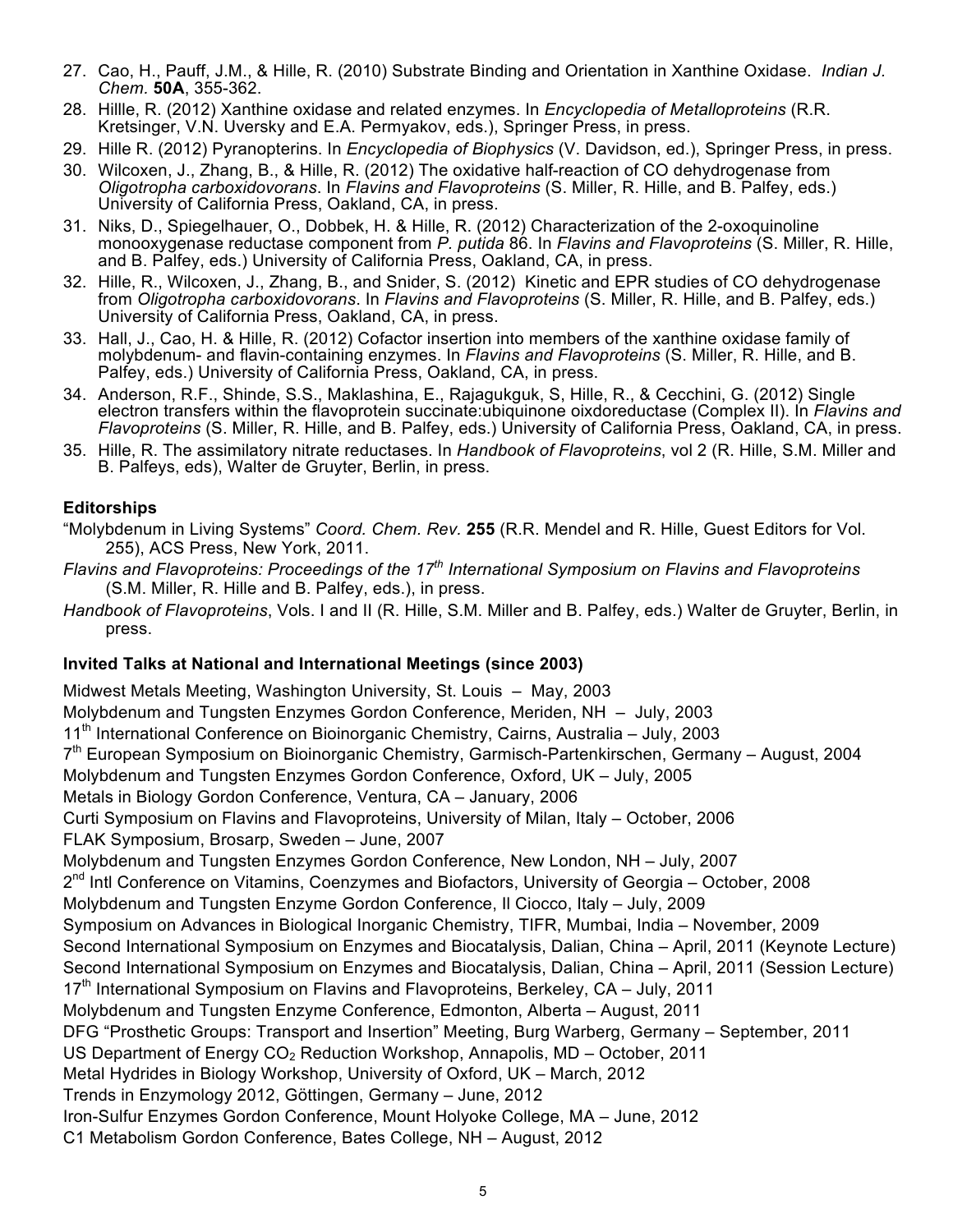- 27. Cao, H., Pauff, J.M., & Hille, R. (2010) Substrate Binding and Orientation in Xanthine Oxidase. *Indian J. Chem.* **50A**, 355-362.
- 28. Hillle, R. (2012) Xanthine oxidase and related enzymes. In *Encyclopedia of Metalloproteins* (R.R. Kretsinger, V.N. Uversky and E.A. Permyakov, eds.), Springer Press, in press.
- 29. Hille R. (2012) Pyranopterins. In *Encyclopedia of Biophysics* (V. Davidson, ed.), Springer Press, in press.
- 30. Wilcoxen, J., Zhang, B., & Hille, R. (2012) The oxidative half-reaction of CO dehydrogenase from *Oligotropha carboxidovorans*. In *Flavins and Flavoproteins* (S. Miller, R. Hille, and B. Palfey, eds.) University of California Press, Oakland, CA, in press.
- 31. Niks, D., Spiegelhauer, O., Dobbek, H. & Hille, R. (2012) Characterization of the 2-oxoquinoline monooxygenase reductase component from *P. putida* 86. In *Flavins and Flavoproteins* (S. Miller, R. Hille, and B. Palfey, eds.) University of California Press, Oakland, CA, in press.
- 32. Hille, R., Wilcoxen, J., Zhang, B., and Snider, S. (2012) Kinetic and EPR studies of CO dehydrogenase from *Oligotropha carboxidovorans*. In *Flavins and Flavoproteins* (S. Miller, R. Hille, and B. Palfey, eds.) University of California Press, Oakland, CA, in press.
- 33. Hall, J., Cao, H. & Hille, R. (2012) Cofactor insertion into members of the xanthine oxidase family of molybdenum- and flavin-containing enzymes. In *Flavins and Flavoproteins* (S. Miller, R. Hille, and B. Palfey, eds.) University of California Press, Oakland, CA, in press.
- 34. Anderson, R.F., Shinde, S.S., Maklashina, E., Rajagukguk, S, Hille, R., & Cecchini, G. (2012) Single electron transfers within the flavoprotein succinate:ubiquinone oixdoreductase (Complex II). In *Flavins and Flavoproteins* (S. Miller, R. Hille, and B. Palfey, eds.) University of California Press, Oakland, CA, in press.
- 35. Hille, R. The assimilatory nitrate reductases. In *Handbook of Flavoproteins*, vol 2 (R. Hille, S.M. Miller and B. Palfeys, eds), Walter de Gruyter, Berlin, in press.

### **Editorships**

- "Molybdenum in Living Systems" *Coord. Chem. Rev.* **255** (R.R. Mendel and R. Hille, Guest Editors for Vol. 255), ACS Press, New York, 2011.
- *Flavins and Flavoproteins: Proceedings of the 17th International Symposium on Flavins and Flavoproteins* (S.M. Miller, R. Hille and B. Palfey, eds.), in press.
- *Handbook of Flavoproteins*, Vols. I and II (R. Hille, S.M. Miller and B. Palfey, eds.) Walter de Gruyter, Berlin, in press.

### **Invited Talks at National and International Meetings (since 2003)**

Midwest Metals Meeting, Washington University, St. Louis – May, 2003 Molybdenum and Tungsten Enzymes Gordon Conference, Meriden, NH – July, 2003  $11<sup>th</sup>$  International Conference on Bioinorganic Chemistry, Cairns, Australia – July, 2003 7th European Symposium on Bioinorganic Chemistry, Garmisch-Partenkirschen, Germany – August, 2004 Molybdenum and Tungsten Enzymes Gordon Conference, Oxford, UK – July, 2005 Metals in Biology Gordon Conference, Ventura, CA – January, 2006 Curti Symposium on Flavins and Flavoproteins, University of Milan, Italy – October, 2006 FLAK Symposium, Brosarp, Sweden – June, 2007 Molybdenum and Tungsten Enzymes Gordon Conference, New London, NH – July, 2007 2<sup>nd</sup> Intl Conference on Vitamins, Coenzymes and Biofactors, University of Georgia – October, 2008 Molybdenum and Tungsten Enzyme Gordon Conference, Il Ciocco, Italy – July, 2009 Symposium on Advances in Biological Inorganic Chemistry, TIFR, Mumbai, India – November, 2009 Second International Symposium on Enzymes and Biocatalysis, Dalian, China – April, 2011 (Keynote Lecture) Second International Symposium on Enzymes and Biocatalysis, Dalian, China – April, 2011 (Session Lecture) 17<sup>th</sup> International Symposium on Flavins and Flavoproteins, Berkeley, CA – July, 2011 Molybdenum and Tungsten Enzyme Conference, Edmonton, Alberta – August, 2011 DFG "Prosthetic Groups: Transport and Insertion" Meeting, Burg Warberg, Germany – September, 2011 US Department of Energy  $CO<sub>2</sub>$  Reduction Workshop, Annapolis, MD – October, 2011 Metal Hydrides in Biology Workshop, University of Oxford, UK – March, 2012 Trends in Enzymology 2012, Göttingen, Germany – June, 2012 Iron-Sulfur Enzymes Gordon Conference, Mount Holyoke College, MA – June, 2012 C1 Metabolism Gordon Conference, Bates College, NH – August, 2012